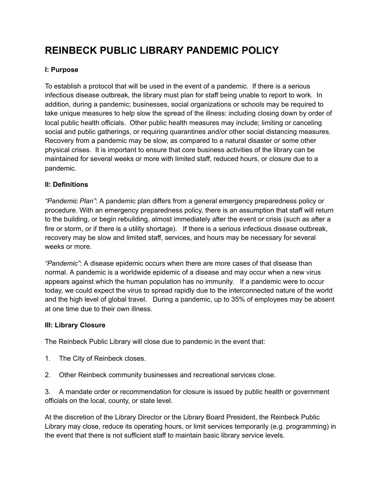# **REINBECK PUBLIC LIBRARY PANDEMIC POLICY**

#### **I: Purpose**

To establish a protocol that will be used in the event of a pandemic. If there is a serious infectious disease outbreak, the library must plan for staff being unable to report to work. In addition, during a pandemic; businesses, social organizations or schools may be required to take unique measures to help slow the spread of the illness: including closing down by order of local public health officials. Other public health measures may include; limiting or canceling social and public gatherings, or requiring quarantines and/or other social distancing measures. Recovery from a pandemic may be slow, as compared to a natural disaster or some other physical crises. It is important to ensure that core business activities of the library can be maintained for several weeks or more with limited staff, reduced hours, or closure due to a pandemic.

## **II: Definitions**

*"Pandemic Plan"*: A pandemic plan differs from a general emergency preparedness policy or procedure. With an emergency preparedness policy, there is an assumption that staff will return to the building, or begin rebuilding, almost immediately after the event or crisis (such as after a fire or storm, or if there is a utility shortage). If there is a serious infectious disease outbreak, recovery may be slow and limited staff, services, and hours may be necessary for several weeks or more.

*"Pandemic"*: A disease epidemic occurs when there are more cases of that disease than normal. A pandemic is a worldwide epidemic of a disease and may occur when a new virus appears against which the human population has no immunity. If a pandemic were to occur today, we could expect the virus to spread rapidly due to the interconnected nature of the world and the high level of global travel. During a pandemic, up to 35% of employees may be absent at one time due to their own illness.

#### **III: Library Closure**

The Reinbeck Public Library will close due to pandemic in the event that:

- 1. The City of Reinbeck closes.
- 2. Other Reinbeck community businesses and recreational services close.

3. A mandate order or recommendation for closure is issued by public health or government officials on the local, county, or state level.

At the discretion of the Library Director or the Library Board President, the Reinbeck Public Library may close, reduce its operating hours, or limit services temporarily (e.g. programming) in the event that there is not sufficient staff to maintain basic library service levels.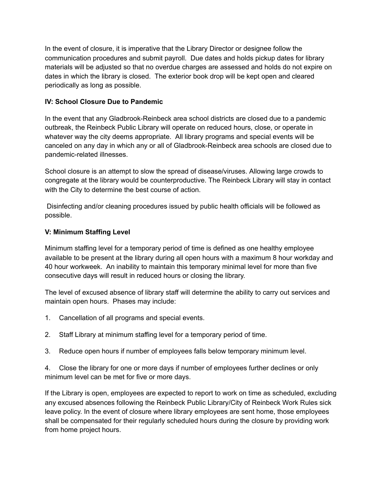In the event of closure, it is imperative that the Library Director or designee follow the communication procedures and submit payroll. Due dates and holds pickup dates for library materials will be adjusted so that no overdue charges are assessed and holds do not expire on dates in which the library is closed. The exterior book drop will be kept open and cleared periodically as long as possible.

# **IV: School Closure Due to Pandemic**

In the event that any Gladbrook-Reinbeck area school districts are closed due to a pandemic outbreak, the Reinbeck Public Library will operate on reduced hours, close, or operate in whatever way the city deems appropriate. All library programs and special events will be canceled on any day in which any or all of Gladbrook-Reinbeck area schools are closed due to pandemic-related illnesses.

School closure is an attempt to slow the spread of disease/viruses. Allowing large crowds to congregate at the library would be counterproductive. The Reinbeck Library will stay in contact with the City to determine the best course of action.

Disinfecting and/or cleaning procedures issued by public health officials will be followed as possible.

## **V: Minimum Staffing Level**

Minimum staffing level for a temporary period of time is defined as one healthy employee available to be present at the library during all open hours with a maximum 8 hour workday and 40 hour workweek. An inability to maintain this temporary minimal level for more than five consecutive days will result in reduced hours or closing the library.

The level of excused absence of library staff will determine the ability to carry out services and maintain open hours. Phases may include:

- 1. Cancellation of all programs and special events.
- 2. Staff Library at minimum staffing level for a temporary period of time.
- 3. Reduce open hours if number of employees falls below temporary minimum level.

4. Close the library for one or more days if number of employees further declines or only minimum level can be met for five or more days.

If the Library is open, employees are expected to report to work on time as scheduled, excluding any excused absences following the Reinbeck Public Library/City of Reinbeck Work Rules sick leave policy. In the event of closure where library employees are sent home, those employees shall be compensated for their regularly scheduled hours during the closure by providing work from home project hours.